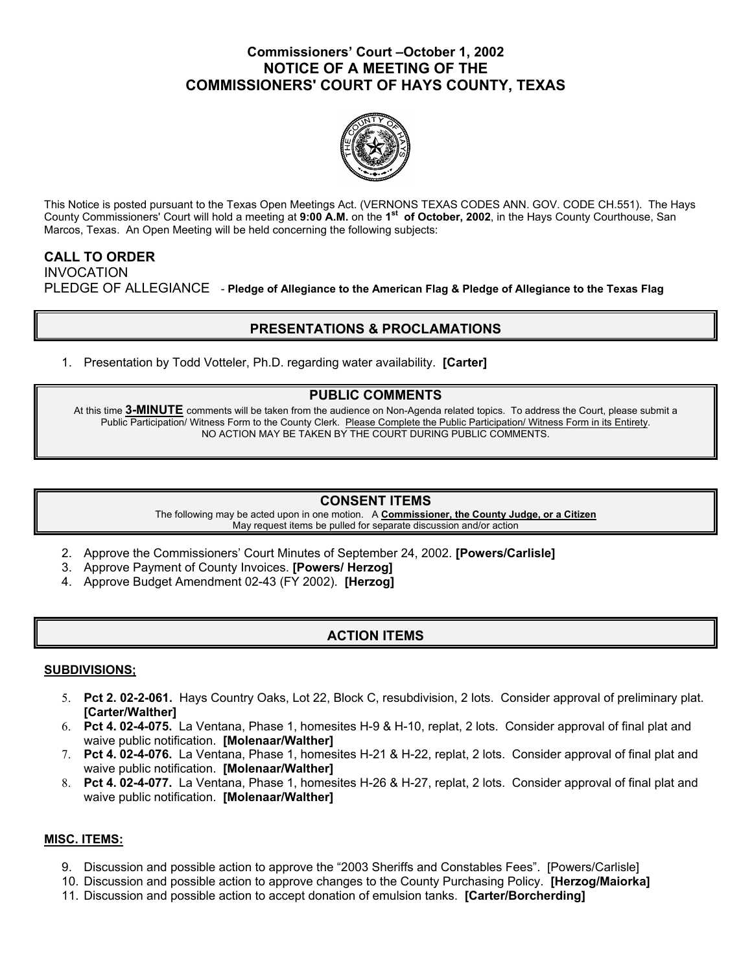## **Commissioners' Court –October 1, 2002 NOTICE OF A MEETING OF THE COMMISSIONERS' COURT OF HAYS COUNTY, TEXAS**



This Notice is posted pursuant to the Texas Open Meetings Act. (VERNONS TEXAS CODES ANN. GOV. CODE CH.551). The Hays County Commissioners' Court will hold a meeting at **9:00 A.M.** on the **1st of October, 2002**, in the Hays County Courthouse, San Marcos, Texas. An Open Meeting will be held concerning the following subjects:

## **CALL TO ORDER**  INVOCATION PLEDGE OF ALLEGIANCE - **Pledge of Allegiance to the American Flag & Pledge of Allegiance to the Texas Flag**

# **PRESENTATIONS & PROCLAMATIONS**

1. Presentation by Todd Votteler, Ph.D. regarding water availability. **[Carter]** 

## **PUBLIC COMMENTS**

At this time **3-MINUTE** comments will be taken from the audience on Non-Agenda related topics. To address the Court, please submit a Public Participation/ Witness Form to the County Clerk. Please Complete the Public Participation/ Witness Form in its Entirety. NO ACTION MAY BE TAKEN BY THE COURT DURING PUBLIC COMMENTS.

### **CONSENT ITEMS**

The following may be acted upon in one motion. A **Commissioner, the County Judge, or a Citizen** May request items be pulled for separate discussion and/or action

- 2. Approve the Commissioners' Court Minutes of September 24, 2002. **[Powers/Carlisle]**
- 3. Approve Payment of County Invoices. **[Powers/ Herzog]**
- 4. Approve Budget Amendment 02-43 (FY 2002). **[Herzog]**

## **ACTION ITEMS**

### **SUBDIVISIONS;**

- 5. **Pct 2. 02-2-061.** Hays Country Oaks, Lot 22, Block C, resubdivision, 2 lots. Consider approval of preliminary plat. **[Carter/Walther]**
- 6. **Pct 4. 02-4-075.** La Ventana, Phase 1, homesites H-9 & H-10, replat, 2 lots. Consider approval of final plat and waive public notification. **[Molenaar/Walther]**
- 7. **Pct 4. 02-4-076.** La Ventana, Phase 1, homesites H-21 & H-22, replat, 2 lots. Consider approval of final plat and waive public notification. **[Molenaar/Walther]**
- 8. **Pct 4. 02-4-077.** La Ventana, Phase 1, homesites H-26 & H-27, replat, 2 lots. Consider approval of final plat and waive public notification. **[Molenaar/Walther]**

### **MISC. ITEMS:**

- 9. Discussion and possible action to approve the "2003 Sheriffs and Constables Fees". [Powers/Carlisle]
- 10. Discussion and possible action to approve changes to the County Purchasing Policy. **[Herzog/Maiorka]**
- 11. Discussion and possible action to accept donation of emulsion tanks. **[Carter/Borcherding]**